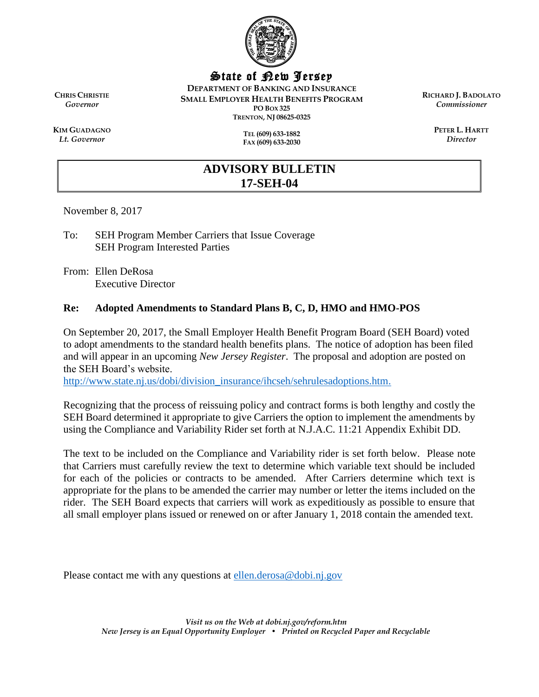

State of New Jersey

**DEPARTMENT OF BANKING AND INSURANCE SMALL EMPLOYER HEALTH BENEFITS PROGRAM PO BOX 325 TRENTON, NJ 08625-0325**

**TEL (609) 633-1882**

**FAX (609) 633-2030**

**RICHARD J. BADOLATO** *Commissioner*

> **PETER L. HARTT** *Director*

**CHRIS CHRISTIE** *Governor*

**KIM GUADAGNO** *Lt. Governor*

# **ADVISORY BULLETIN 17-SEH-04**

November 8, 2017

To: SEH Program Member Carriers that Issue Coverage SEH Program Interested Parties

From: Ellen DeRosa Executive Director

## **Re: Adopted Amendments to Standard Plans B, C, D, HMO and HMO-POS**

On September 20, 2017, the Small Employer Health Benefit Program Board (SEH Board) voted to adopt amendments to the standard health benefits plans. The notice of adoption has been filed and will appear in an upcoming *New Jersey Register*. The proposal and adoption are posted on the SEH Board's website.

[http://www.state.nj.us/dobi/division\\_insurance/ihcseh/sehrulesadoptions.htm.](http://www.state.nj.us/dobi/division_insurance/ihcseh/sehrulesadoptions.htm)

Recognizing that the process of reissuing policy and contract forms is both lengthy and costly the SEH Board determined it appropriate to give Carriers the option to implement the amendments by using the Compliance and Variability Rider set forth at N.J.A.C. 11:21 Appendix Exhibit DD.

The text to be included on the Compliance and Variability rider is set forth below. Please note that Carriers must carefully review the text to determine which variable text should be included for each of the policies or contracts to be amended. After Carriers determine which text is appropriate for the plans to be amended the carrier may number or letter the items included on the rider. The SEH Board expects that carriers will work as expeditiously as possible to ensure that all small employer plans issued or renewed on or after January 1, 2018 contain the amended text.

Please contact me with any questions at [ellen.derosa@dobi.nj.gov](mailto:ellen.derosa@dobi.nj.gov)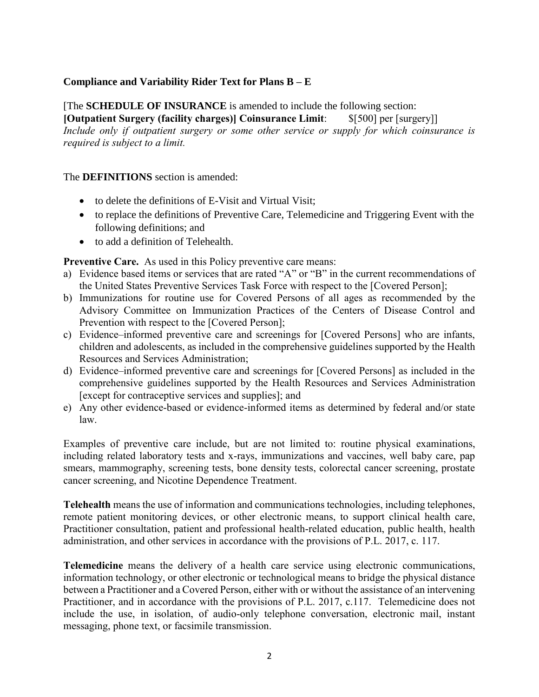### **Compliance and Variability Rider Text for Plans B – E**

[The **SCHEDULE OF INSURANCE** is amended to include the following section: [Outpatient Surgery (facility charges)] Coinsurance Limit: \$[500] per [surgery]]

*Include only if outpatient surgery or some other service or supply for which coinsurance is required is subject to a limit.* 

#### The **DEFINITIONS** section is amended:

- to delete the definitions of E-Visit and Virtual Visit:
- to replace the definitions of Preventive Care, Telemedicine and Triggering Event with the following definitions; and
- to add a definition of Telehealth.

#### Preventive Care. As used in this Policy preventive care means:

- a) Evidence based items or services that are rated "A" or "B" in the current recommendations of the United States Preventive Services Task Force with respect to the [Covered Person];
- b) Immunizations for routine use for Covered Persons of all ages as recommended by the Advisory Committee on Immunization Practices of the Centers of Disease Control and Prevention with respect to the [Covered Person];
- c) Evidence–informed preventive care and screenings for [Covered Persons] who are infants, children and adolescents, as included in the comprehensive guidelines supported by the Health Resources and Services Administration;
- d) Evidence–informed preventive care and screenings for [Covered Persons] as included in the comprehensive guidelines supported by the Health Resources and Services Administration [except for contraceptive services and supplies]; and
- e) Any other evidence-based or evidence-informed items as determined by federal and/or state law.

Examples of preventive care include, but are not limited to: routine physical examinations, including related laboratory tests and x-rays, immunizations and vaccines, well baby care, pap smears, mammography, screening tests, bone density tests, colorectal cancer screening, prostate cancer screening, and Nicotine Dependence Treatment.

Telehealth means the use of information and communications technologies, including telephones, remote patient monitoring devices, or other electronic means, to support clinical health care, Practitioner consultation, patient and professional health-related education, public health, health administration, and other services in accordance with the provisions of P.L. 2017, c. 117.

Telemedicine means the delivery of a health care service using electronic communications, information technology, or other electronic or technological means to bridge the physical distance between a Practitioner and a Covered Person, either with or without the assistance of an intervening Practitioner, and in accordance with the provisions of P.L. 2017, c.117. Telemedicine does not include the use, in isolation, of audio-only telephone conversation, electronic mail, instant messaging, phone text, or facsimile transmission.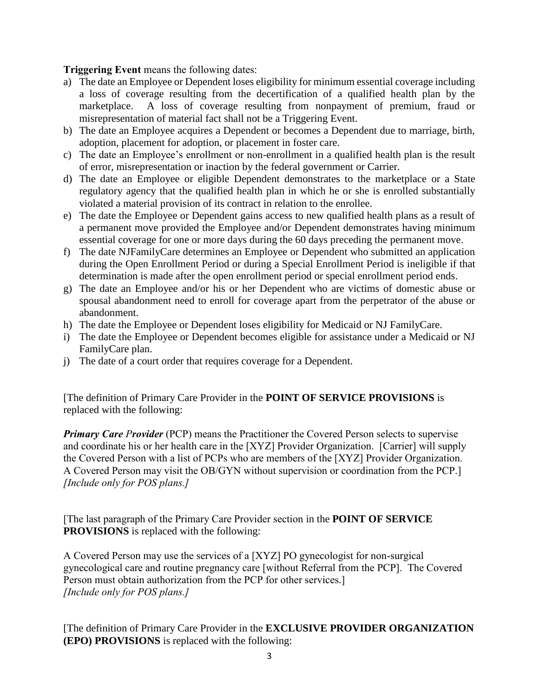Triggering Event means the following dates:

- a) The date an Employee or Dependent loses eligibility for minimum essential coverage including a loss of coverage resulting from the decertification of a qualified health plan by the marketplace. A loss of coverage resulting from nonpayment of premium, fraud or misrepresentation of material fact shall not be a Triggering Event.
- b) The date an Employee acquires a Dependent or becomes a Dependent due to marriage, birth, adoption, placement for adoption, or placement in foster care.
- c) The date an Employee's enrollment or non-enrollment in a qualified health plan is the result of error, misrepresentation or inaction by the federal government or Carrier.
- d) The date an Employee or eligible Dependent demonstrates to the marketplace or a State regulatory agency that the qualified health plan in which he or she is enrolled substantially violated a material provision of its contract in relation to the enrollee.
- e) The date the Employee or Dependent gains access to new qualified health plans as a result of a permanent move provided the Employee and/or Dependent demonstrates having minimum essential coverage for one or more days during the 60 days preceding the permanent move.
- f) The date NJFamilyCare determines an Employee or Dependent who submitted an application during the Open Enrollment Period or during a Special Enrollment Period is ineligible if that determination is made after the open enrollment period or special enrollment period ends.
- g) The date an Employee and/or his or her Dependent who are victims of domestic abuse or spousal abandonment need to enroll for coverage apart from the perpetrator of the abuse or abandonment.
- h) The date the Employee or Dependent loses eligibility for Medicaid or NJ FamilyCare.
- i) The date the Employee or Dependent becomes eligible for assistance under a Medicaid or NJ FamilyCare plan.
- j) The date of a court order that requires coverage for a Dependent.

[The definition of Primary Care Provider in the **POINT OF SERVICE PROVISIONS** is replaced with the following:

*Primary Care Provider* (PCP) means the Practitioner the Covered Person selects to supervise and coordinate his or her health care in the [XYZ] Provider Organization. [Carrier] will supply the Covered Person with a list of PCPs who are members of the [XYZ] Provider Organization. A Covered Person may visit the OB/GYN without supervision or coordination from the PCP.] *[Include only for POS plans.]*

[The last paragraph of the Primary Care Provider section in the **POINT OF SERVICE PROVISIONS** is replaced with the following:

A Covered Person may use the services of a [XYZ] PO gynecologist for non-surgical gynecological care and routine pregnancy care [without Referral from the PCP]. The Covered Person must obtain authorization from the PCP for other services.] *[Include only for POS plans.]*

[The definition of Primary Care Provider in the **EXCLUSIVE PROVIDER ORGANIZATION (EPO) PROVISIONS** is replaced with the following: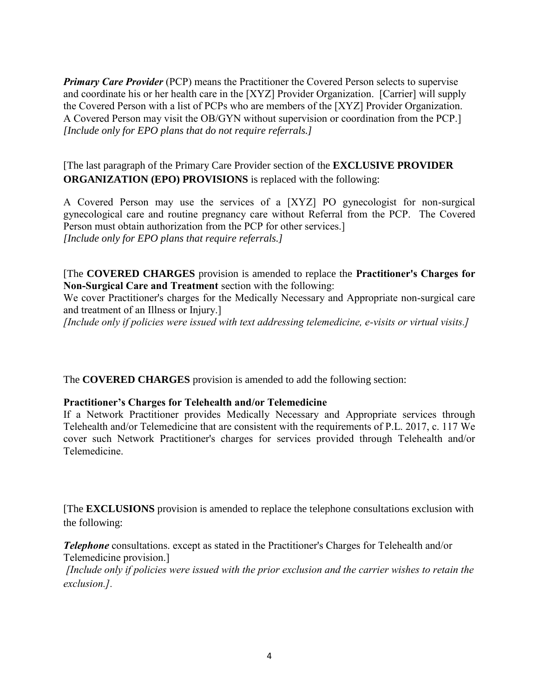*Primary Care Provider* (PCP) means the Practitioner the Covered Person selects to supervise and coordinate his or her health care in the [XYZ] Provider Organization. [Carrier] will supply the Covered Person with a list of PCPs who are members of the [XYZ] Provider Organization. A Covered Person may visit the OB/GYN without supervision or coordination from the PCP.] *[Include only for EPO plans that do not require referrals.]*

[The last paragraph of the Primary Care Provider section of the **EXCLUSIVE PROVIDER ORGANIZATION (EPO) PROVISIONS** is replaced with the following:

A Covered Person may use the services of a [XYZ] PO gynecologist for non-surgical gynecological care and routine pregnancy care without Referral from the PCP. The Covered Person must obtain authorization from the PCP for other services.] *[Include only for EPO plans that require referrals.]*

[The **COVERED CHARGES** provision is amended to replace the Practitioner's Charges for Non-Surgical Care and Treatment section with the following:

We cover Practitioner's charges for the Medically Necessary and Appropriate non-surgical care and treatment of an Illness or Injury.]

*[Include only if policies were issued with text addressing telemedicine, e-visits or virtual visits.]* 

The **COVERED CHARGES** provision is amended to add the following section:

### Practitioner's Charges for Telehealth and/or Telemedicine

If a Network Practitioner provides Medically Necessary and Appropriate services through Telehealth and/or Telemedicine that are consistent with the requirements of P.L. 2017, c. 117 We cover such Network Practitioner's charges for services provided through Telehealth and/or Telemedicine.

[The **EXCLUSIONS** provision is amended to replace the telephone consultations exclusion with the following:

*Telephone* consultations. except as stated in the Practitioner's Charges for Telehealth and/or Telemedicine provision.]

*[Include only if policies were issued with the prior exclusion and the carrier wishes to retain the exclusion.].*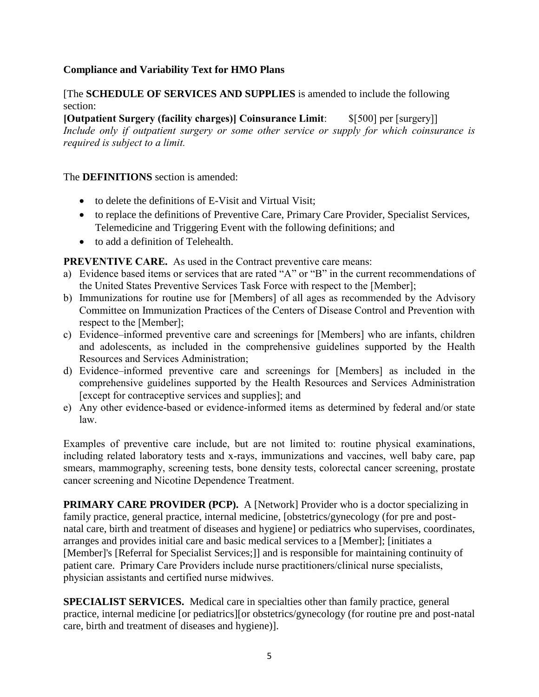## **Compliance and Variability Text for HMO Plans**

[The **SCHEDULE OF SERVICES AND SUPPLIES** is amended to include the following section:

[Outpatient Surgery (facility charges)] Coinsurance Limit: \$[500] per [surgery]] *Include only if outpatient surgery or some other service or supply for which coinsurance is required is subject to a limit.* 

#### The **DEFINITIONS** section is amended:

- to delete the definitions of E-Visit and Virtual Visit:
- to replace the definitions of Preventive Care, Primary Care Provider, Specialist Services, Telemedicine and Triggering Event with the following definitions; and
- to add a definition of Telehealth.

PREVENTIVE CARE. As used in the Contract preventive care means:

- a) Evidence based items or services that are rated "A" or "B" in the current recommendations of the United States Preventive Services Task Force with respect to the [Member];
- b) Immunizations for routine use for [Members] of all ages as recommended by the Advisory Committee on Immunization Practices of the Centers of Disease Control and Prevention with respect to the [Member];
- c) Evidence–informed preventive care and screenings for [Members] who are infants, children and adolescents, as included in the comprehensive guidelines supported by the Health Resources and Services Administration;
- d) Evidence–informed preventive care and screenings for [Members] as included in the comprehensive guidelines supported by the Health Resources and Services Administration [except for contraceptive services and supplies]; and
- e) Any other evidence-based or evidence-informed items as determined by federal and/or state law.

Examples of preventive care include, but are not limited to: routine physical examinations, including related laboratory tests and x-rays, immunizations and vaccines, well baby care, pap smears, mammography, screening tests, bone density tests, colorectal cancer screening, prostate cancer screening and Nicotine Dependence Treatment.

**PRIMARY CARE PROVIDER (PCP).** A [Network] Provider who is a doctor specializing in family practice, general practice, internal medicine, [obstetrics/gynecology (for pre and postnatal care, birth and treatment of diseases and hygiene] or pediatrics who supervises, coordinates, arranges and provides initial care and basic medical services to a [Member]; [initiates a [Member]'s [Referral for Specialist Services;]] and is responsible for maintaining continuity of patient care. Primary Care Providers include nurse practitioners/clinical nurse specialists, physician assistants and certified nurse midwives.

**SPECIALIST SERVICES.** Medical care in specialties other than family practice, general practice, internal medicine [or pediatrics][or obstetrics/gynecology (for routine pre and post-natal care, birth and treatment of diseases and hygiene)].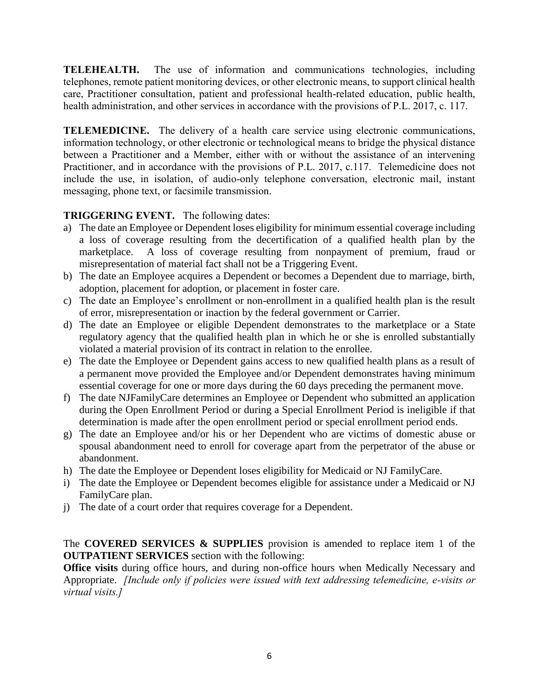TELEHEALTH. The use of information and communications technologies, including telephones, remote patient monitoring devices, or other electronic means, to support clinical health care, Practitioner consultation, patient and professional health-related education, public health, health administration, and other services in accordance with the provisions of P.L. 2017, c. 117.

TELEMEDICINE. The delivery of a health care service using electronic communications, information technology, or other electronic or technological means to bridge the physical distance between a Practitioner and a Member, either with or without the assistance of an intervening Practitioner, and in accordance with the provisions of P.L. 2017, c.117. Telemedicine does not include the use, in isolation, of audio-only telephone conversation, electronic mail, instant messaging, phone text, or facsimile transmission.

## TRIGGERING EVENT. The following dates:

- a) The date an Employee or Dependent loses eligibility for minimum essential coverage including a loss of coverage resulting from the decertification of a qualified health plan by the marketplace. A loss of coverage resulting from nonpayment of premium, fraud or misrepresentation of material fact shall not be a Triggering Event.
- b) The date an Employee acquires a Dependent or becomes a Dependent due to marriage, birth, adoption, placement for adoption, or placement in foster care.
- c) The date an Employee's enrollment or non-enrollment in a qualified health plan is the result of error, misrepresentation or inaction by the federal government or Carrier.
- d) The date an Employee or eligible Dependent demonstrates to the marketplace or a State regulatory agency that the qualified health plan in which he or she is enrolled substantially violated a material provision of its contract in relation to the enrollee.
- e) The date the Employee or Dependent gains access to new qualified health plans as a result of a permanent move provided the Employee and/or Dependent demonstrates having minimum essential coverage for one or more days during the 60 days preceding the permanent move.
- f) The date NJFamilyCare determines an Employee or Dependent who submitted an application during the Open Enrollment Period or during a Special Enrollment Period is ineligible if that determination is made after the open enrollment period or special enrollment period ends.
- g) The date an Employee and/or his or her Dependent who are victims of domestic abuse or spousal abandonment need to enroll for coverage apart from the perpetrator of the abuse or abandonment.
- h) The date the Employee or Dependent loses eligibility for Medicaid or NJ FamilyCare.
- i) The date the Employee or Dependent becomes eligible for assistance under a Medicaid or NJ FamilyCare plan.
- j) The date of a court order that requires coverage for a Dependent.

The **COVERED SERVICES & SUPPLIES** provision is amended to replace item 1 of the **OUTPATIENT SERVICES** section with the following:

**Office visits** during office hours, and during non-office hours when Medically Necessary and Appropriate. *[Include only if policies were issued with text addressing telemedicine, e-visits or virtual visits.]*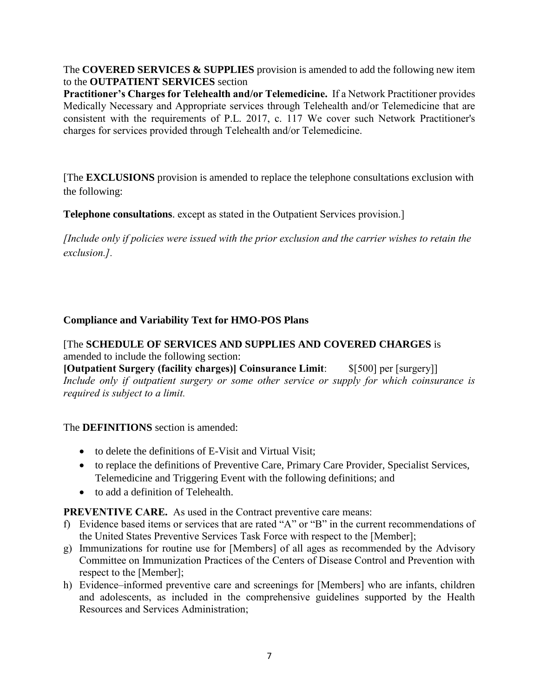The **COVERED SERVICES & SUPPLIES** provision is amended to add the following new item to the **OUTPATIENT SERVICES** section

Practitioner's Charges for Telehealth and/or Telemedicine. If a Network Practitioner provides Medically Necessary and Appropriate services through Telehealth and/or Telemedicine that are consistent with the requirements of P.L. 2017, c. 117 We cover such Network Practitioner's charges for services provided through Telehealth and/or Telemedicine.

[The **EXCLUSIONS** provision is amended to replace the telephone consultations exclusion with the following:

**Telephone consultations**. except as stated in the Outpatient Services provision.]

*[Include only if policies were issued with the prior exclusion and the carrier wishes to retain the exclusion.].* 

# **Compliance and Variability Text for HMO-POS Plans**

[The **SCHEDULE OF SERVICES AND SUPPLIES AND COVERED CHARGES** is amended to include the following section:

[Outpatient Surgery (facility charges)] Coinsurance Limit: \$[500] per [surgery]] *Include only if outpatient surgery or some other service or supply for which coinsurance is required is subject to a limit.* 

# The **DEFINITIONS** section is amended:

- to delete the definitions of E-Visit and Virtual Visit;
- to replace the definitions of Preventive Care, Primary Care Provider, Specialist Services, Telemedicine and Triggering Event with the following definitions; and
- to add a definition of Telehealth.

PREVENTIVE CARE. As used in the Contract preventive care means:

- f) Evidence based items or services that are rated "A" or "B" in the current recommendations of the United States Preventive Services Task Force with respect to the [Member];
- g) Immunizations for routine use for [Members] of all ages as recommended by the Advisory Committee on Immunization Practices of the Centers of Disease Control and Prevention with respect to the [Member];
- h) Evidence–informed preventive care and screenings for [Members] who are infants, children and adolescents, as included in the comprehensive guidelines supported by the Health Resources and Services Administration;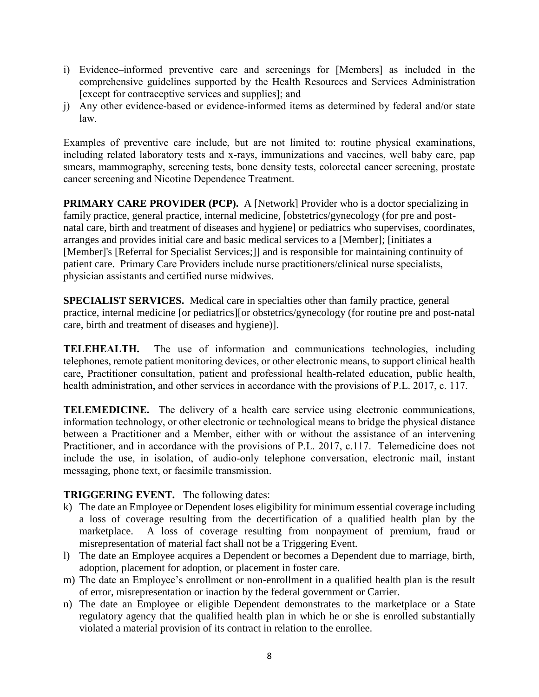- i) Evidence–informed preventive care and screenings for [Members] as included in the comprehensive guidelines supported by the Health Resources and Services Administration [except for contraceptive services and supplies]; and
- j) Any other evidence-based or evidence-informed items as determined by federal and/or state law.

Examples of preventive care include, but are not limited to: routine physical examinations, including related laboratory tests and x-rays, immunizations and vaccines, well baby care, pap smears, mammography, screening tests, bone density tests, colorectal cancer screening, prostate cancer screening and Nicotine Dependence Treatment.

**PRIMARY CARE PROVIDER (PCP).** A [Network] Provider who is a doctor specializing in family practice, general practice, internal medicine, [obstetrics/gynecology (for pre and postnatal care, birth and treatment of diseases and hygiene] or pediatrics who supervises, coordinates, arranges and provides initial care and basic medical services to a [Member]; [initiates a [Member]'s [Referral for Specialist Services;]] and is responsible for maintaining continuity of patient care. Primary Care Providers include nurse practitioners/clinical nurse specialists, physician assistants and certified nurse midwives.

**SPECIALIST SERVICES.** Medical care in specialties other than family practice, general practice, internal medicine [or pediatrics][or obstetrics/gynecology (for routine pre and post-natal care, birth and treatment of diseases and hygiene)].

TELEHEALTH. The use of information and communications technologies, including telephones, remote patient monitoring devices, or other electronic means, to support clinical health care, Practitioner consultation, patient and professional health-related education, public health, health administration, and other services in accordance with the provisions of P.L. 2017, c. 117.

TELEMEDICINE. The delivery of a health care service using electronic communications, information technology, or other electronic or technological means to bridge the physical distance between a Practitioner and a Member, either with or without the assistance of an intervening Practitioner, and in accordance with the provisions of P.L. 2017, c.117. Telemedicine does not include the use, in isolation, of audio-only telephone conversation, electronic mail, instant messaging, phone text, or facsimile transmission.

### TRIGGERING EVENT. The following dates:

- k) The date an Employee or Dependent loses eligibility for minimum essential coverage including a loss of coverage resulting from the decertification of a qualified health plan by the marketplace. A loss of coverage resulting from nonpayment of premium, fraud or misrepresentation of material fact shall not be a Triggering Event.
- l) The date an Employee acquires a Dependent or becomes a Dependent due to marriage, birth, adoption, placement for adoption, or placement in foster care.
- m) The date an Employee's enrollment or non-enrollment in a qualified health plan is the result of error, misrepresentation or inaction by the federal government or Carrier.
- n) The date an Employee or eligible Dependent demonstrates to the marketplace or a State regulatory agency that the qualified health plan in which he or she is enrolled substantially violated a material provision of its contract in relation to the enrollee.